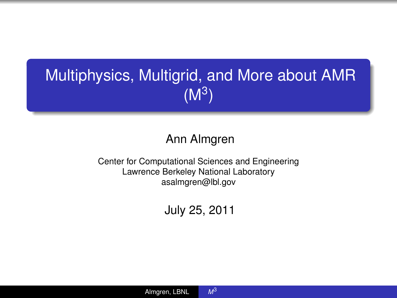# Multiphysics, Multigrid, and More about AMR  $(M^3)$

#### Ann Almgren

Center for Computational Sciences and Engineering Lawrence Berkeley National Laboratory asalmgren@lbl.gov

July 25, 2011

<span id="page-0-0"></span>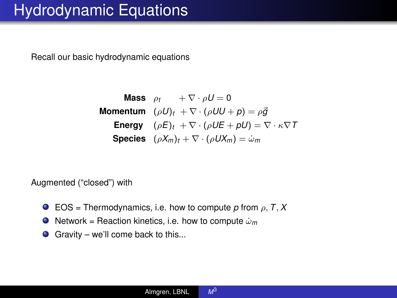## Hydrodynamic Equations

Recall our basic hydrodynamic equations

| Mass     | $\rho_t$                                                                   | $+\nabla \cdot \rho U = 0$ |
|----------|----------------------------------------------------------------------------|----------------------------|
| Momentum | $(\rho U)_t + \nabla \cdot (\rho U U + p) = \rho \vec{g}$                  |                            |
| Energy   | $(\rho E)_t + \nabla \cdot (\rho U E + pU) = \nabla \cdot \kappa \nabla T$ |                            |
| Species  | $(\rho X_m)_t + \nabla \cdot (\rho U X_m) = \omega_m$                      |                            |

Augmented ("closed") with

- EOS = Thermodynamics, i.e. how to compute  $p$  from  $p, T, X$  $\bullet$
- $\bullet$  Network = Reaction kinetics, i.e. how to compute  $\dot{\omega}_m$
- Gravity we'll come back to this...

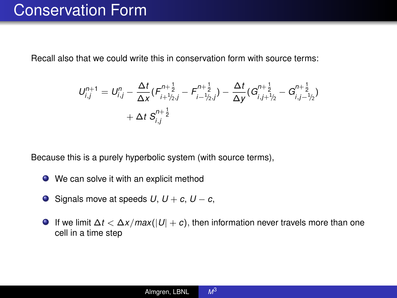#### Conservation Form

Recall also that we could write this in conservation form with source terms:

$$
U_{i,j}^{n+1} = U_{i,j}^n - \frac{\Delta t}{\Delta x} (F_{i+\frac{1}{2},j}^{n+\frac{1}{2}} - F_{i-\frac{1}{2},j}^{n+\frac{1}{2}}) - \frac{\Delta t}{\Delta y} (G_{i,j+\frac{1}{2}}^{n+\frac{1}{2}} - G_{i,j-\frac{1}{2},j}^{n+\frac{1}{2}}) \\ + \Delta t S_{i,j}^{n+\frac{1}{2}}
$$

Because this is a purely hyperbolic system (with source terms),

- We can solve it with an explicit method
- $\bigcirc$  Signals move at speeds *U*, *U* + *c*, *U* − *c*,
- $\bullet$  If we limit  $\Delta t < \Delta x / max(|U| + c)$ , then information never travels more than one cell in a time step

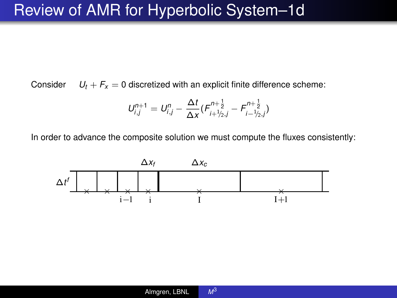Consider  $U_t + F_x = 0$  discretized with an explicit finite difference scheme:

$$
U_{i,j}^{n+1} = U_{i,j}^{n} - \frac{\Delta t}{\Delta x} (F_{i+\frac{1}{2},j}^{n+\frac{1}{2}} - F_{i-\frac{1}{2},j}^{n+\frac{1}{2}})
$$

In order to advance the composite solution we must compute the fluxes consistently:

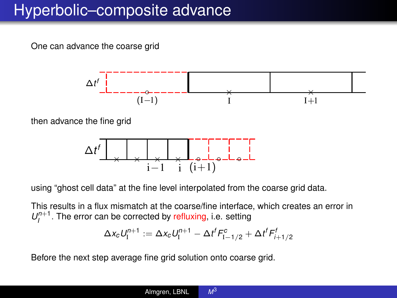#### Hyperbolic–composite advance

One can advance the coarse grid



then advance the fine grid



using "ghost cell data" at the fine level interpolated from the coarse grid data.

This results in a flux mismatch at the coarse/fine interface, which creates an error in  $U_I^{n+1}$ . The error can be corrected by refluxing, i.e. setting

$$
\Delta x_c U_{\rm I}^{n+1} := \Delta x_c U_{\rm I}^{n+1} - \Delta t^f F_{\rm I-1/2}^c + \Delta t^f F_{\rm I+1/2}^f
$$

Before the next step average fine grid solution onto coarse grid.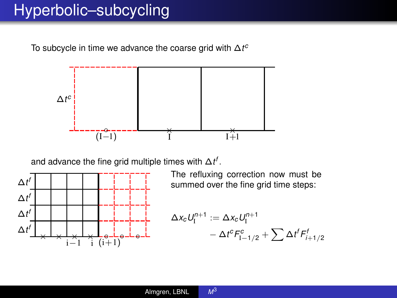#### Hyperbolic–subcycling

To subcycle in time we advance the coarse grid with ∆*t c*



and advance the fine grid multiple times with  $\Delta t^f$ .



The refluxing correction now must be summed over the fine grid time steps:

$$
\Delta x_c U_1^{n+1} := \Delta x_c U_1^{n+1}
$$
  
- 
$$
\Delta t^c F_{1-1/2}^c + \sum \Delta t^f F_{i+1/2}^f
$$

 $M<sup>3</sup>$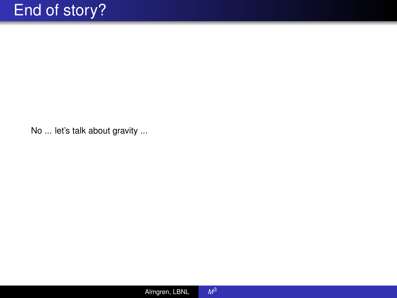No ... let's talk about gravity ...

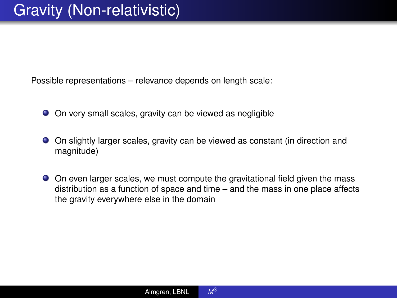Possible representations – relevance depends on length scale:

- On very small scales, gravity can be viewed as negligible
- On slightly larger scales, gravity can be viewed as constant (in direction and magnitude)
- On even larger scales, we must compute the gravitational field given the mass distribution as a function of space and time – and the mass in one place affects the gravity everywhere else in the domain

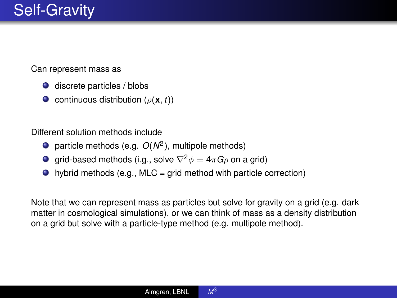Can represent mass as

- discrete particles / blobs
- **C** continuous distribution ( $\rho(\mathbf{x}, t)$ )

Different solution methods include

- particle methods (e.g. *O*(*N*<sup>2</sup> ), multipole methods)
- **g** grid-based methods (i.g., solve  $\nabla^2 \phi = 4\pi G \rho$  on a grid)
- $\bullet$  hybrid methods (e.g., MLC = grid method with particle correction)

Note that we can represent mass as particles but solve for gravity on a grid (e.g. dark matter in cosmological simulations), or we can think of mass as a density distribution on a grid but solve with a particle-type method (e.g. multipole method).

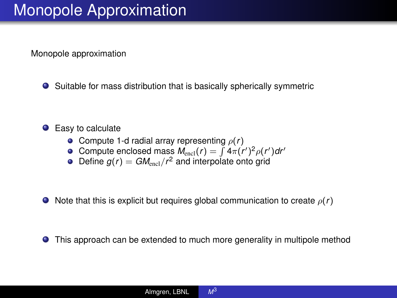Monopole approximation

Suitable for mass distribution that is basically spherically symmetric

#### • Easy to calculate

- **•** Compute 1-d radial array representing  $\rho(r)$
- Compute enclosed mass  $M_{\text{encl}}(r) = \int 4\pi (r')^2 \rho(r') dr'$
- Define  $g(r) = GM<sub>encl</sub>/r<sup>2</sup>$  and interpolate onto grid
- $\bullet$  Note that this is explicit but requires global communication to create  $\rho(r)$

This approach can be extended to much more generality in multipole method

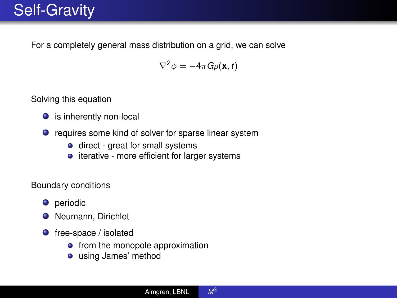#### Self-Gravity

For a completely general mass distribution on a grid, we can solve

$$
\nabla^2 \phi = -4\pi G \rho(\mathbf{x}, t)
$$

Solving this equation

- is inherently non-local
- requires some kind of solver for sparse linear system
	- **o** direct great for small systems
	- **•** iterative more efficient for larger systems

Boundary conditions

- **O** periodic
- **O** Neumann, Dirichlet
- $\bullet$  free-space / isolated
	- from the monopole approximation
	- using James' method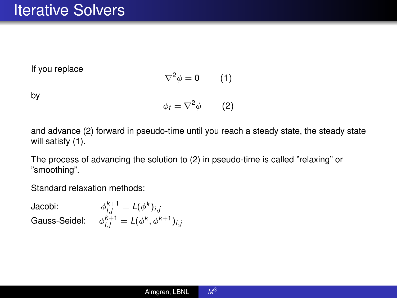If you replace

$$
\nabla^2 \phi = 0 \qquad (1)
$$

by

$$
\phi_t = \nabla^2 \phi \qquad \textbf{(2)}
$$

and advance (2) forward in pseudo-time until you reach a steady state, the steady state will satisfy (1).

The process of advancing the solution to (2) in pseudo-time is called "relaxing" or "smoothing".

Standard relaxation methods:

Jacobi:  $\phi^{k+1}_{i,j} = L(\phi^k)_{i,j}$  $Gauss-Seidel:$   $\phi^{k+1}_{i,j} = L(\phi^k, \phi^{k+1})_{i,j}$ 

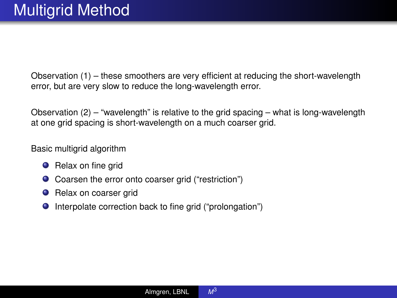Observation (1) – these smoothers are very efficient at reducing the short-wavelength error, but are very slow to reduce the long-wavelength error.

Observation  $(2)$  – "wavelength" is relative to the grid spacing – what is long-wavelength at one grid spacing is short-wavelength on a much coarser grid.

Basic multigrid algorithm

- **O** Relax on fine grid
- Coarsen the error onto coarser grid ("restriction")
- **•** Relax on coarser grid
- Interpolate correction back to fine grid ("prolongation")

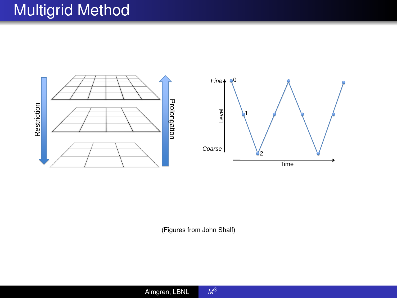### Multigrid Method



(Figures from John Shalf)

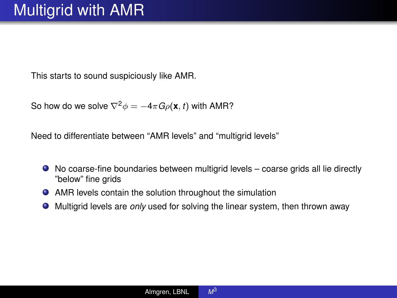This starts to sound suspiciously like AMR.

So how do we solve  $\nabla^2 \phi = -4\pi G \rho(\mathbf{x}, t)$  with AMR?

Need to differentiate between "AMR levels" and "multigrid levels"

- No coarse-fine boundaries between multigrid levels coarse grids all lie directly "below" fine grids
- AMR levels contain the solution throughout the simulation
- Multigrid levels are *only* used for solving the linear system, then thrown away

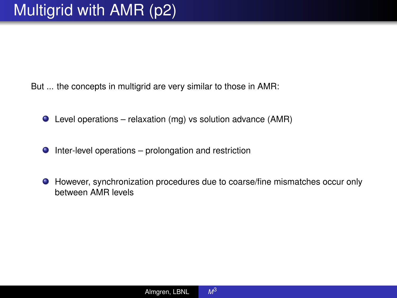But ... the concepts in multigrid are very similar to those in AMR:

- Level operations relaxation (mg) vs solution advance (AMR)
- $\bullet$  Inter-level operations prolongation and restriction
- However, synchronization procedures due to coarse/fine mismatches occur only between AMR levels

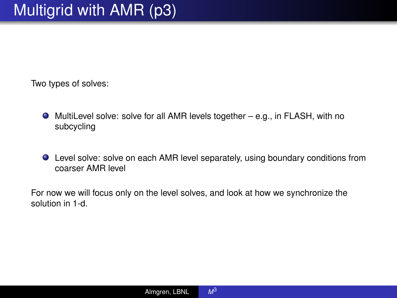Two types of solves:

- MultiLevel solve: solve for all AMR levels together e.g., in FLASH, with no subcycling
- Level solve: solve on each AMR level separately, using boundary conditions from coarser AMR level

For now we will focus only on the level solves, and look at how we synchronize the solution in 1-d.

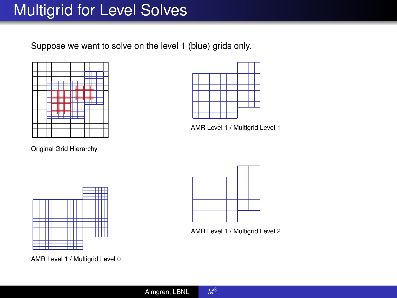#### Multigrid for Level Solves

Suppose we want to solve on the level 1 (blue) grids only.



Original Grid Hierarchy



AMR Level 1 / Multigrid Level 1



AMR Level 1 / Multigrid Level 0



AMR Level 1 / Multigrid Level 2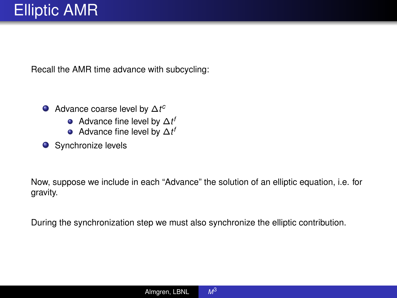Recall the AMR time advance with subcycling:

- Advance coarse level by ∆*t c*
	- Advance fine level by ∆*t f*
	- Advance fine level by ∆*t f*
- **O** Synchronize levels

Now, suppose we include in each "Advance" the solution of an elliptic equation, i.e. for gravity.

During the synchronization step we must also synchronize the elliptic contribution.

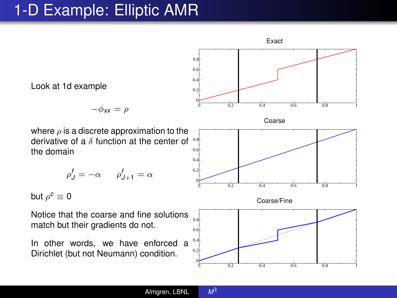## 1-D Example: Elliptic AMR

Look at 1d example  $-\phi_{xx} = \rho$ where  $\rho$  is a discrete approximation to the derivative of a  $\delta$  function at the center of the domain  $\rho^f_J = -\alpha$   $\rho^f_{J+1} = \alpha$ but  $\rho^{\texttt{c}}\equiv\texttt{0}$ Notice that the coarse and fine solutions match but their gradients do not. In other words, we have enforced a Dirichlet (but not Neumann) condition. Exact 0 0.2 0.4 0.6 0.8 1  $\mathbf 0$  $\overline{0}$ .  $\overline{0}$ .  $\theta$ . 0.8 Coarse 0 0.2 0.4 0.6 0.8 1  $\mathbf 0$  $\alpha$  $\overline{0}$ .  $\overline{a}$ 0.8 Coarse/Fine 0 0.2 0.4 0.6 0.8 1  $\mathbf 0$  $0.2$ 0.4 0.6 0.8

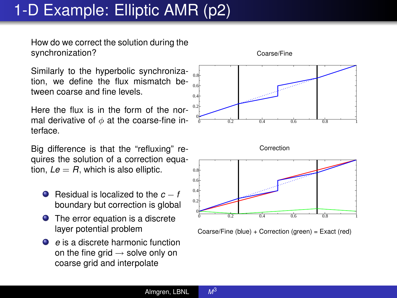# 1-D Example: Elliptic AMR (p2)

How do we correct the solution during the synchronization?

Similarly to the hyperbolic synchronization, we define the flux mismatch between coarse and fine levels.

Here the flux is in the form of the normal derivative of  $\phi$  at the coarse-fine interface.

Big difference is that the "refluxing" requires the solution of a correction equation,  $Le = R$ , which is also elliptic.

- Residual is localized to the *c* − *f* boundary but correction is global
- The error equation is a discrete layer potential problem
- *e* is a discrete harmonic function on the fine grid  $\rightarrow$  solve only on coarse grid and interpolate





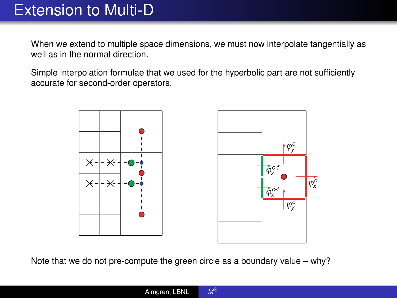When we extend to multiple space dimensions, we must now interpolate tangentially as well as in the normal direction.

Simple interpolation formulae that we used for the hyperbolic part are not sufficiently accurate for second-order operators.



Note that we do not pre-compute the green circle as a boundary value – why?